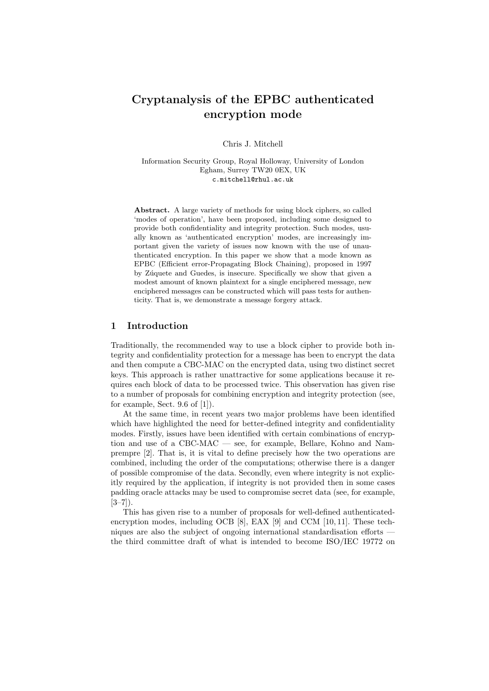# Cryptanalysis of the EPBC authenticated encryption mode

Chris J. Mitchell

Information Security Group, Royal Holloway, University of London Egham, Surrey TW20 0EX, UK c.mitchell@rhul.ac.uk

Abstract. A large variety of methods for using block ciphers, so called 'modes of operation', have been proposed, including some designed to provide both confidentiality and integrity protection. Such modes, usually known as 'authenticated encryption' modes, are increasingly important given the variety of issues now known with the use of unauthenticated encryption. In this paper we show that a mode known as EPBC (Efficient error-Propagating Block Chaining), proposed in 1997 by Zúquete and Guedes, is insecure. Specifically we show that given a modest amount of known plaintext for a single enciphered message, new enciphered messages can be constructed which will pass tests for authenticity. That is, we demonstrate a message forgery attack.

#### 1 Introduction

Traditionally, the recommended way to use a block cipher to provide both integrity and confidentiality protection for a message has been to encrypt the data and then compute a CBC-MAC on the encrypted data, using two distinct secret keys. This approach is rather unattractive for some applications because it requires each block of data to be processed twice. This observation has given rise to a number of proposals for combining encryption and integrity protection (see, for example, Sect. 9.6 of [1]).

At the same time, in recent years two major problems have been identified which have highlighted the need for better-defined integrity and confidentiality modes. Firstly, issues have been identified with certain combinations of encryption and use of a CBC-MAC — see, for example, Bellare, Kohno and Namprempre [2]. That is, it is vital to define precisely how the two operations are combined, including the order of the computations; otherwise there is a danger of possible compromise of the data. Secondly, even where integrity is not explicitly required by the application, if integrity is not provided then in some cases padding oracle attacks may be used to compromise secret data (see, for example,  $[3-7]$ .

This has given rise to a number of proposals for well-defined authenticatedencryption modes, including OCB [8], EAX [9] and CCM [10, 11]. These techniques are also the subject of ongoing international standardisation efforts the third committee draft of what is intended to become ISO/IEC 19772 on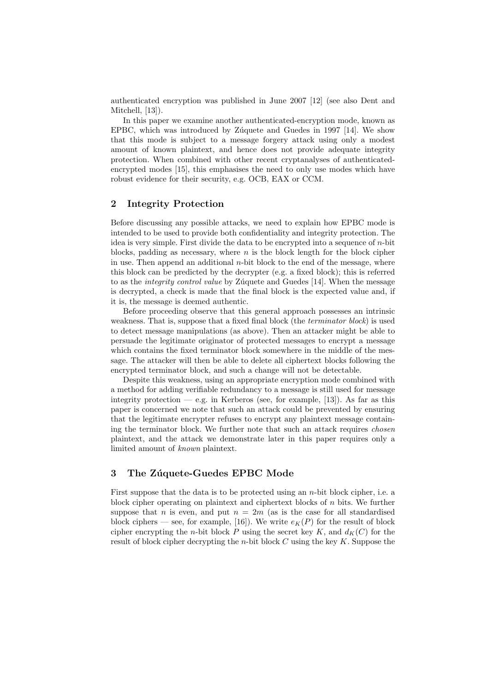authenticated encryption was published in June 2007 [12] (see also Dent and Mitchell, [13]).

In this paper we examine another authenticated-encryption mode, known as EPBC, which was introduced by Zúquete and Guedes in 1997 [14]. We show that this mode is subject to a message forgery attack using only a modest amount of known plaintext, and hence does not provide adequate integrity protection. When combined with other recent cryptanalyses of authenticatedencrypted modes [15], this emphasises the need to only use modes which have robust evidence for their security, e.g. OCB, EAX or CCM.

#### 2 Integrity Protection

Before discussing any possible attacks, we need to explain how EPBC mode is intended to be used to provide both confidentiality and integrity protection. The idea is very simple. First divide the data to be encrypted into a sequence of n-bit blocks, padding as necessary, where  $n$  is the block length for the block cipher in use. Then append an additional  $n$ -bit block to the end of the message, where this block can be predicted by the decrypter (e.g. a fixed block); this is referred to as the *integrity control value* by Zúquete and Guedes [14]. When the message is decrypted, a check is made that the final block is the expected value and, if it is, the message is deemed authentic.

Before proceeding observe that this general approach possesses an intrinsic weakness. That is, suppose that a fixed final block (the *terminator block*) is used to detect message manipulations (as above). Then an attacker might be able to persuade the legitimate originator of protected messages to encrypt a message which contains the fixed terminator block somewhere in the middle of the message. The attacker will then be able to delete all ciphertext blocks following the encrypted terminator block, and such a change will not be detectable.

Despite this weakness, using an appropriate encryption mode combined with a method for adding verifiable redundancy to a message is still used for message integrity protection — e.g. in Kerberos (see, for example,  $[13]$ ). As far as this paper is concerned we note that such an attack could be prevented by ensuring that the legitimate encrypter refuses to encrypt any plaintext message containing the terminator block. We further note that such an attack requires chosen plaintext, and the attack we demonstrate later in this paper requires only a limited amount of known plaintext.

#### 3 The Zúquete-Guedes EPBC Mode

First suppose that the data is to be protected using an  $n$ -bit block cipher, i.e. a block cipher operating on plaintext and ciphertext blocks of n bits. We further suppose that n is even, and put  $n = 2m$  (as is the case for all standardised block ciphers — see, for example, [16]). We write  $e_K(P)$  for the result of block cipher encrypting the *n*-bit block P using the secret key K, and  $d_K(C)$  for the result of block cipher decrypting the *n*-bit block  $C$  using the key  $K$ . Suppose the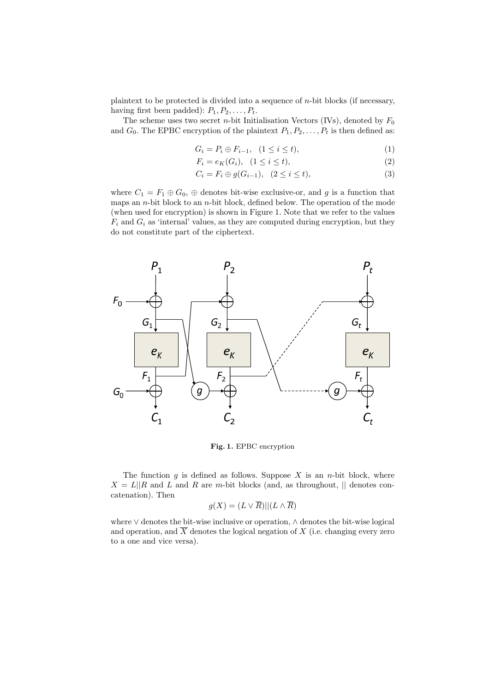plaintext to be protected is divided into a sequence of  $n$ -bit blocks (if necessary, having first been padded):  $P_1, P_2, \ldots, P_t$ .

The scheme uses two secret *n*-bit Initialisation Vectors (IVs), denoted by  $F_0$ and  $G_0$ . The EPBC encryption of the plaintext  $P_1, P_2, \ldots, P_t$  is then defined as:

$$
G_i = P_i \oplus F_{i-1}, \quad (1 \le i \le t), \tag{1}
$$

$$
F_i = e_K(G_i), \quad (1 \le i \le t), \tag{2}
$$

$$
C_i = F_i \oplus g(G_{i-1}), \quad (2 \le i \le t), \tag{3}
$$

where  $C_1 = F_1 \oplus G_0$ ,  $\oplus$  denotes bit-wise exclusive-or, and g is a function that maps an  $n$ -bit block to an  $n$ -bit block, defined below. The operation of the mode (when used for encryption) is shown in Figure 1. Note that we refer to the values  $F_i$  and  $G_i$  as 'internal' values, as they are computed during encryption, but they do not constitute part of the ciphertext.



Fig. 1. EPBC encryption

The function  $g$  is defined as follows. Suppose  $X$  is an *n*-bit block, where  $X = L||R$  and L and R are m-bit blocks (and, as throughout,  $||$  denotes concatenation). Then

$$
g(X) = (L \vee \overline{R})||(L \wedge \overline{R})
$$

where ∨ denotes the bit-wise inclusive or operation, ∧ denotes the bit-wise logical and operation, and  $\overline{X}$  denotes the logical negation of X (i.e. changing every zero to a one and vice versa).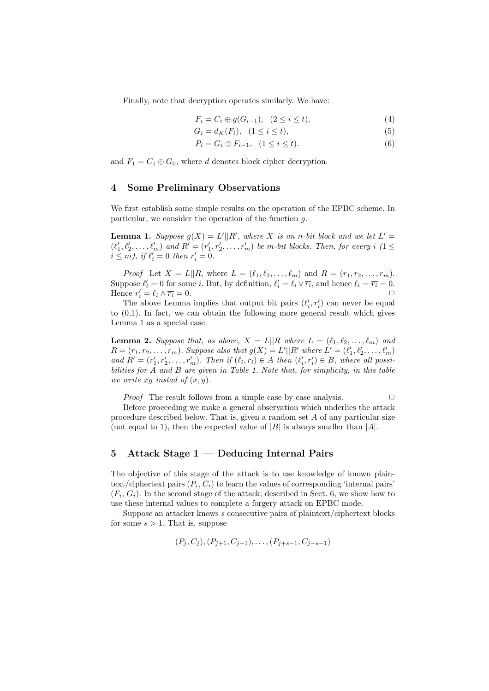Finally, note that decryption operates similarly. We have:

$$
F_i = C_i \oplus g(G_{i-1}), \quad (2 \le i \le t), \tag{4}
$$

$$
G_i = d_K(F_i), \quad (1 \le i \le t), \tag{5}
$$

$$
P_i = G_i \oplus F_{i-1}, \quad (1 \le i \le t). \tag{6}
$$

and  $F_1 = C_1 \oplus G_0$ , where d denotes block cipher decryption.

#### 4 Some Preliminary Observations

We first establish some simple results on the operation of the EPBC scheme. In particular, we consider the operation of the function g.

**Lemma 1.** Suppose  $g(X) = L' || R'$ , where X is an n-bit block and we let  $L' =$  $(\ell'_1, \ell'_2, \ldots, \ell'_m)$  and  $R' = (r'_1, r'_2, \ldots, r'_m)$  be m-bit blocks. Then, for every i  $(1 \leq$  $i \leq m$ , if  $\ell'_i = 0$  then  $r'_i = 0$ .

*Proof* Let  $X = L||R$ , where  $L = (\ell_1, \ell_2, \ldots, \ell_m)$  and  $R = (r_1, r_2, \ldots, r_m)$ . Suppose  $\ell_i' = 0$  for some *i*. But, by definition,  $\ell_i' = \ell_i \vee \overline{r_i}$ , and hence  $\ell_i = \overline{r_i} = 0$ . Hence  $r'_i = \ell_i \wedge \overline{r_i} = 0.$ 

The above Lemma implies that output bit pairs  $(\ell'_i, r'_i)$  can never be equal to (0,1). In fact, we can obtain the following more general result which gives Lemma 1 as a special case.

**Lemma 2.** Suppose that, as above,  $X = L||R$  where  $L = (\ell_1, \ell_2, \ldots, \ell_m)$  and  $R = (r_1, r_2, \ldots, r_m)$ . Suppose also that  $g(X) = L' || R'$  where  $L' = (\ell'_1, \ell'_2, \ldots, \ell'_m)$ and  $R' = (r'_1, r'_2, \ldots, r'_m)$ . Then if  $(\ell_i, r_i) \in A$  then  $(\ell'_i, r'_i) \in B$ , where all possibilities for A and B are given in Table 1. Note that, for simplicity, in this table we write xy instad of  $(x, y)$ .

*Proof* The result follows from a simple case by case analysis.  $\Box$ 

Before proceeding we make a general observation which underlies the attack procedure described below. That is, given a random set A of any particular size (not equal to 1), then the expected value of  $|B|$  is always smaller than  $|A|$ .

#### 5 Attack Stage  $1$  — Deducing Internal Pairs

The objective of this stage of the attack is to use knowledge of known plaintext/ciphertext pairs  $(P_i, C_i)$  to learn the values of corresponding 'internal pairs'  $(F_i, G_i)$ . In the second stage of the attack, described in Sect. 6, we show how to use these internal values to complete a forgery attack on EPBC mode.

Suppose an attacker knows s consecutive pairs of plaintext/ciphertext blocks for some  $s > 1$ . That is, suppose

$$
(P_j, C_j), (P_{j+1}, C_{j+1}), \ldots, (P_{j+s-1}, C_{j+s-1})
$$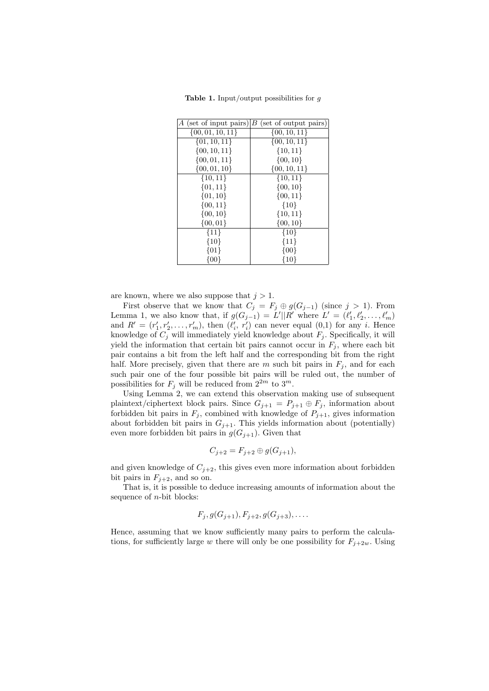**Table 1.** Input/output possibilities for  $g$ 

|                      | A (set of input pairs) $ B $ (set of output pairs) |
|----------------------|----------------------------------------------------|
| $\{00, 01, 10, 11\}$ | $\{00, 10, 11\}$                                   |
| $\{01, 10, 11\}$     | $\{00, 10, 11\}$                                   |
| $\{00, 10, 11\}$     | $\{10, 11\}$                                       |
| $\{00, 01, 11\}$     | $\{00, 10\}$                                       |
| $\{00, 01, 10\}$     | $\{00, 10, 11\}$                                   |
| $\{10, 11\}$         | $\{10, 11\}$                                       |
| $\{01, 11\}$         | $\{00, 10\}$                                       |
| $\{01, 10\}$         | $\{00, 11\}$                                       |
| $\{00, 11\}$         | ${10}$                                             |
| $\{00, 10\}$         | $\{10, 11\}$                                       |
| $\{00, 01\}$         | $\{00, 10\}$                                       |
| ${11}$               | ${10}$                                             |
| ${10}$               | ${11}$                                             |
| $\{01\}$             | $\{00\}$                                           |
| $\{00\}$             | {10}                                               |

are known, where we also suppose that  $j > 1$ .

First observe that we know that  $C_j = F_j \oplus g(G_{j-1})$  (since  $j > 1$ ). From Lemma 1, we also know that, if  $g(G_{j-1}) = L' || R'$  where  $L' = (\ell'_1, \ell'_2, \ldots, \ell'_m)$ and  $R' = (r'_1, r'_2, \ldots, r'_m)$ , then  $(\ell'_i, r'_i)$  can never equal  $(0,1)$  for any i. Hence knowledge of  $C_j$  will immediately yield knowledge about  $F_j$ . Specifically, it will yield the information that certain bit pairs cannot occur in  $F_j$ , where each bit pair contains a bit from the left half and the corresponding bit from the right half. More precisely, given that there are  $m$  such bit pairs in  $F_j$ , and for each such pair one of the four possible bit pairs will be ruled out, the number of possibilities for  $F_i$  will be reduced from  $2^{2m}$  to  $3^m$ .

Using Lemma 2, we can extend this observation making use of subsequent plaintext/ciphertext block pairs. Since  $G_{j+1} = P_{j+1} \oplus F_j$ , information about forbidden bit pairs in  $F_j$ , combined with knowledge of  $P_{j+1}$ , gives information about forbidden bit pairs in  $G_{j+1}$ . This yields information about (potentially) even more forbidden bit pairs in  $g(G_{j+1})$ . Given that

$$
C_{j+2} = F_{j+2} \oplus g(G_{j+1}),
$$

and given knowledge of  $C_{j+2}$ , this gives even more information about forbidden bit pairs in  $F_{j+2}$ , and so on.

That is, it is possible to deduce increasing amounts of information about the sequence of  $n$ -bit blocks:

$$
F_j, g(G_{j+1}), F_{j+2}, g(G_{j+3}), \ldots
$$

Hence, assuming that we know sufficiently many pairs to perform the calculations, for sufficiently large w there will only be one possibility for  $F_{j+2w}$ . Using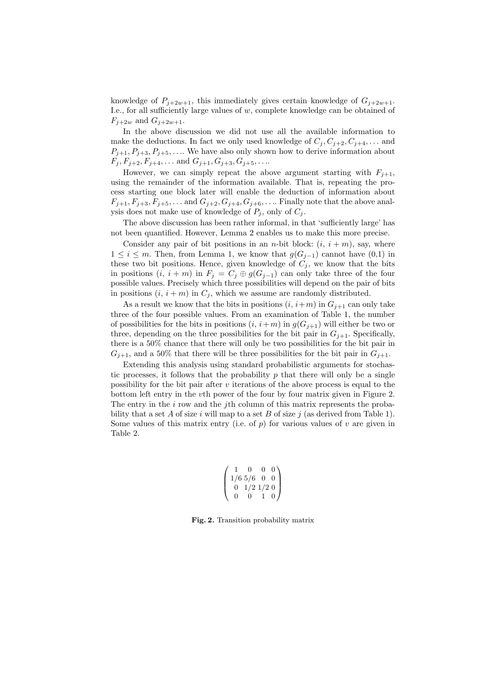knowledge of  $P_{j+2w+1}$ , this immediately gives certain knowledge of  $G_{j+2w+1}$ . I.e., for all sufficiently large values of  $w$ , complete knowledge can be obtained of  $F_{j+2w}$  and  $G_{j+2w+1}$ .

In the above discussion we did not use all the available information to make the deductions. In fact we only used knowledge of  $C_i, C_{i+2}, C_{i+4}, \ldots$  and  $P_{j+1}, P_{j+3}, P_{j+5}, \ldots$  We have also only shown how to derive information about  $F_j, F_{j+2}, F_{j+4}, \ldots$  and  $G_{j+1}, G_{j+3}, G_{j+5}, \ldots$ 

However, we can simply repeat the above argument starting with  $F_{j+1}$ , using the remainder of the information available. That is, repeating the process starting one block later will enable the deduction of information about  $F_{j+1}, F_{j+3}, F_{j+5}, \ldots$  and  $G_{j+2}, G_{j+4}, G_{j+6}, \ldots$  Finally note that the above analysis does not make use of knowledge of  $P_j$ , only of  $C_j$ .

The above discussion has been rather informal, in that 'sufficiently large' has not been quantified. However, Lemma 2 enables us to make this more precise.

Consider any pair of bit positions in an *n*-bit block:  $(i, i + m)$ , say, where  $1 \leq i \leq m$ . Then, from Lemma 1, we know that  $g(G_{j-1})$  cannot have  $(0,1)$  in these two bit positions. Hence, given knowledge of  $C_j$ , we know that the bits in positions  $(i, i + m)$  in  $F_j = C_j \oplus g(G_{j-1})$  can only take three of the four possible values. Precisely which three possibilities will depend on the pair of bits in positions  $(i, i + m)$  in  $C_j$ , which we assume are randomly distributed.

As a result we know that the bits in positions  $(i, i+m)$  in  $G_{i+1}$  can only take three of the four possible values. From an examination of Table 1, the number of possibilities for the bits in positions  $(i, i+m)$  in  $g(G_{j+1})$  will either be two or three, depending on the three possibilities for the bit pair in  $G_{j+1}$ . Specifically, there is a 50% chance that there will only be two possibilities for the bit pair in  $G_{i+1}$ , and a 50% that there will be three possibilities for the bit pair in  $G_{i+1}$ .

Extending this analysis using standard probabilistic arguments for stochastic processes, it follows that the probability  $p$  that there will only be a single possibility for the bit pair after  $v$  iterations of the above process is equal to the bottom left entry in the vth power of the four by four matrix given in Figure 2. The entry in the  $i$  row and the j<sup>th</sup> column of this matrix represents the probability that a set A of size i will map to a set B of size j (as derived from Table 1). Some values of this matrix entry (i.e. of p) for various values of v are given in Table 2.

$$
\left(\begin{array}{l} {1\quad \, 0\quad \ 0\ \ \, 0} \\ {1/6\,\,5/6\quad 0\ \ \, 0} \\ {0\quad \, 1/2\,\, 1/2\ \, 0} \\ {0\quad \ 0\quad \ 1\quad \, 0} \end{array}\right)\ \,
$$

Fig. 2. Transition probability matrix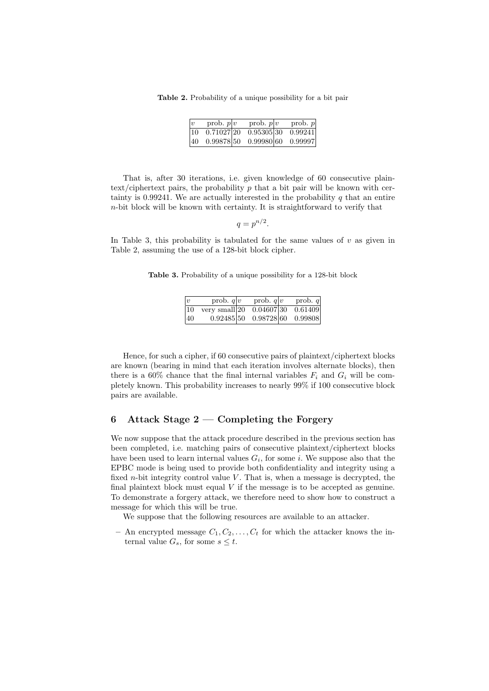Table 2. Probability of a unique possibility for a bit pair

| v  | prob. $p v$ | prob. $p v$ | prob. $p$ |
|----|-------------|-------------|-----------|
| 10 | 0.71027 20  | 0.95305 30  | 0.99241   |
| 40 | 0.99878 50  | 0.99980 60  | 0.99997   |

That is, after 30 iterations, i.e. given knowledge of 60 consecutive plaintext/ciphertext pairs, the probability  $p$  that a bit pair will be known with certainty is 0.99241. We are actually interested in the probability q that an entire n-bit block will be known with certainty. It is straightforward to verify that

$$
q = p^{n/2}
$$

.

In Table 3, this probability is tabulated for the same values of  $v$  as given in Table 2, assuming the use of a 128-bit block cipher.

Table 3. Probability of a unique possibility for a 128-bit block

| $\boldsymbol{v}$ | prob. $q v$       | prob. $q v$            | prob. $q$ |
|------------------|-------------------|------------------------|-----------|
| 10               | very small $ 20 $ | $0.04607\overline{30}$ | 0.61409   |
| 40               | 0.92485 50        | 0.98728 60             | 0.99808   |

Hence, for such a cipher, if 60 consecutive pairs of plaintext/ciphertext blocks are known (bearing in mind that each iteration involves alternate blocks), then there is a 60% chance that the final internal variables  $F_i$  and  $G_i$  will be completely known. This probability increases to nearly 99% if 100 consecutive block pairs are available.

## 6 Attack Stage  $2$  — Completing the Forgery

We now suppose that the attack procedure described in the previous section has been completed, i.e. matching pairs of consecutive plaintext/ciphertext blocks have been used to learn internal values  $G_i$ , for some i. We suppose also that the EPBC mode is being used to provide both confidentiality and integrity using a fixed *n*-bit integrity control value  $V$ . That is, when a message is decrypted, the final plaintext block must equal  $V$  if the message is to be accepted as genuine. To demonstrate a forgery attack, we therefore need to show how to construct a message for which this will be true.

We suppose that the following resources are available to an attacker.

– An encrypted message  $C_1, C_2, \ldots, C_t$  for which the attacker knows the internal value  $G_s$ , for some  $s \leq t$ .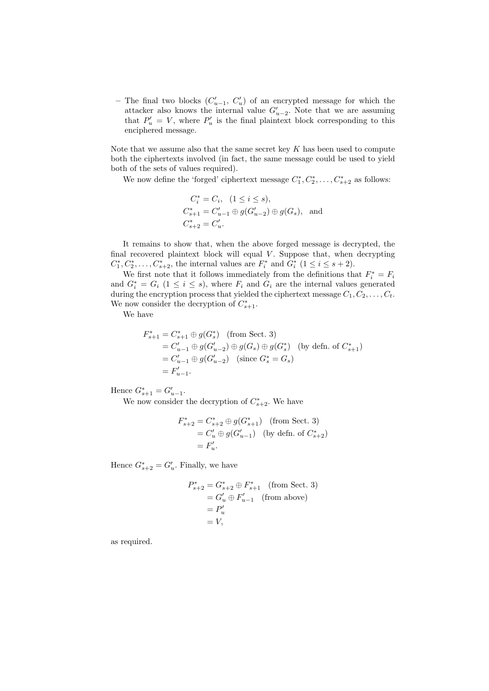– The final two blocks  $(C'_{u-1}, C'_{u})$  of an encrypted message for which the attacker also knows the internal value  $G'_{u-2}$ . Note that we are assuming that  $P'_u = V$ , where  $P'_u$  is the final plaintext block corresponding to this enciphered message.

Note that we assume also that the same secret key  $K$  has been used to compute both the ciphertexts involved (in fact, the same message could be used to yield both of the sets of values required).

We now define the 'forged' ciphertext message  $C_1^*, C_2^*, \ldots, C_{s+2}^*$  as follows:

$$
C_i^* = C_i, \quad (1 \le i \le s),
$$
  
\n
$$
C_{s+1}^* = C_{u-1}' \oplus g(G_{u-2}') \oplus g(G_s),
$$
 and  
\n
$$
C_{s+2}^* = C_u'.
$$

It remains to show that, when the above forged message is decrypted, the final recovered plaintext block will equal  $V$ . Suppose that, when decrypting  $C_1^*, C_2^*, \ldots, C_{s+2}^*$ , the internal values are  $F_i^*$  and  $G_i^*$   $(1 \le i \le s+2)$ .

We first note that it follows immediately from the definitions that  $F_i^* = F_i$ and  $G_i^* = G_i$  (1  $\leq i \leq s$ ), where  $F_i$  and  $G_i$  are the internal values generated during the encryption process that yielded the ciphertext message  $C_1, C_2, \ldots, C_t$ . We now consider the decryption of  $C_{s+1}^*$ .

We have

$$
F_{s+1}^* = C_{s+1}^* \oplus g(G_s^*) \quad \text{(from Sect. 3)}
$$
  
=  $C'_{u-1} \oplus g(G'_{u-2}) \oplus g(G_s) \oplus g(G_s^*) \quad \text{(by defn. of } C_{s+1}^*)$   
=  $C'_{u-1} \oplus g(G'_{u-2}) \quad \text{(since } G_s^* = G_s)$   
=  $F'_{u-1}$ .

Hence  $G_{s+1}^* = G'_{u-1}$ .

We now consider the decryption of  $C_{s+2}^*$ . We have

$$
F_{s+2}^* = C_{s+2}^* \oplus g(G_{s+1}^*) \quad \text{(from Sect. 3)}
$$
  
=  $C_u' \oplus g(G_{u-1}') \quad \text{(by defn. of } C_{s+2}^*)$   
=  $F_u'.$ 

Hence  $G_{s+2}^* = G_u'$ . Finally, we have

$$
P_{s+2}^* = G_{s+2}^* \oplus F_{s+1}^*
$$
 (from Sect. 3)  
=  $G'_u \oplus F'_{u-1}$  (from above)  
=  $P'_u$   
=  $V$ ,

as required.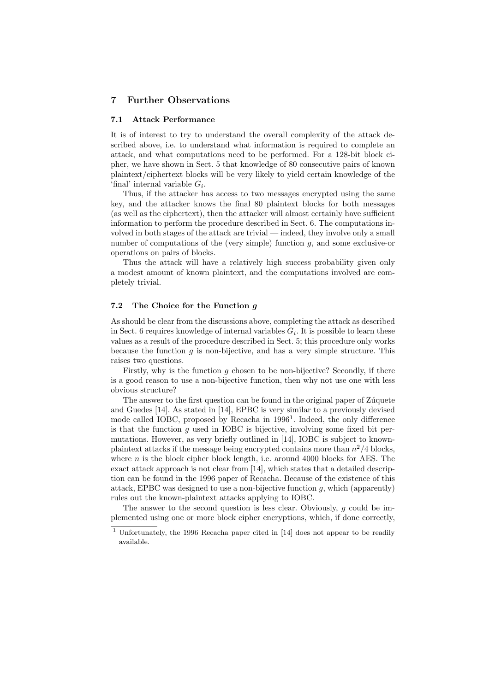### 7 Further Observations

#### 7.1 Attack Performance

It is of interest to try to understand the overall complexity of the attack described above, i.e. to understand what information is required to complete an attack, and what computations need to be performed. For a 128-bit block cipher, we have shown in Sect. 5 that knowledge of 80 consecutive pairs of known plaintext/ciphertext blocks will be very likely to yield certain knowledge of the 'final' internal variable  $G_i$ .

Thus, if the attacker has access to two messages encrypted using the same key, and the attacker knows the final 80 plaintext blocks for both messages (as well as the ciphertext), then the attacker will almost certainly have sufficient information to perform the procedure described in Sect. 6. The computations involved in both stages of the attack are trivial — indeed, they involve only a small number of computations of the (very simple) function  $q$ , and some exclusive-or operations on pairs of blocks.

Thus the attack will have a relatively high success probability given only a modest amount of known plaintext, and the computations involved are completely trivial.

#### 7.2 The Choice for the Function g

As should be clear from the discussions above, completing the attack as described in Sect. 6 requires knowledge of internal variables  $G_i$ . It is possible to learn these values as a result of the procedure described in Sect. 5; this procedure only works because the function  $g$  is non-bijective, and has a very simple structure. This raises two questions.

Firstly, why is the function q chosen to be non-bijective? Secondly, if there is a good reason to use a non-bijective function, then why not use one with less obvious structure?

The answer to the first question can be found in the original paper of Zuguete and Guedes [14]. As stated in [14], EPBC is very similar to a previously devised mode called IOBC, proposed by Recacha in 1996<sup>1</sup>. Indeed, the only difference is that the function  $g$  used in IOBC is bijective, involving some fixed bit permutations. However, as very briefly outlined in [14], IOBC is subject to knownplaintext attacks if the message being encrypted contains more than  $n^2/4$  blocks, where  $n$  is the block cipher block length, i.e. around 4000 blocks for AES. The exact attack approach is not clear from [14], which states that a detailed description can be found in the 1996 paper of Recacha. Because of the existence of this attack, EPBC was designed to use a non-bijective function  $q$ , which (apparently) rules out the known-plaintext attacks applying to IOBC.

The answer to the second question is less clear. Obviously,  $q$  could be implemented using one or more block cipher encryptions, which, if done correctly,

<sup>1</sup> Unfortunately, the 1996 Recacha paper cited in [14] does not appear to be readily available.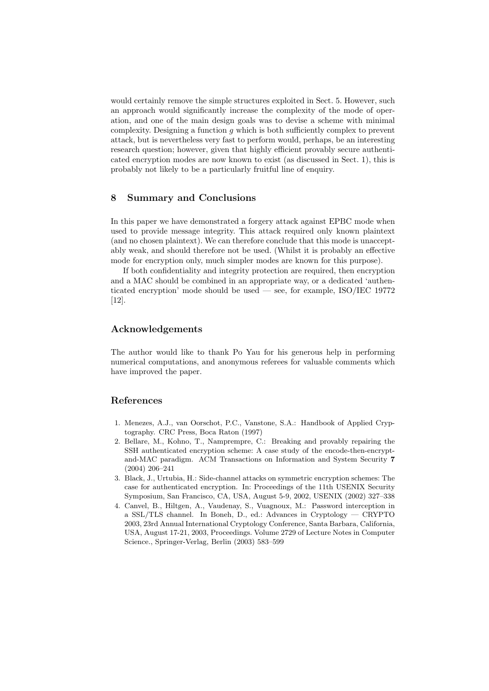would certainly remove the simple structures exploited in Sect. 5. However, such an approach would significantly increase the complexity of the mode of operation, and one of the main design goals was to devise a scheme with minimal complexity. Designing a function  $g$  which is both sufficiently complex to prevent attack, but is nevertheless very fast to perform would, perhaps, be an interesting research question; however, given that highly efficient provably secure authenticated encryption modes are now known to exist (as discussed in Sect. 1), this is probably not likely to be a particularly fruitful line of enquiry.

### 8 Summary and Conclusions

In this paper we have demonstrated a forgery attack against EPBC mode when used to provide message integrity. This attack required only known plaintext (and no chosen plaintext). We can therefore conclude that this mode is unacceptably weak, and should therefore not be used. (Whilst it is probably an effective mode for encryption only, much simpler modes are known for this purpose).

If both confidentiality and integrity protection are required, then encryption and a MAC should be combined in an appropriate way, or a dedicated 'authenticated encryption' mode should be used — see, for example, ISO/IEC 19772 [12].

#### Acknowledgements

The author would like to thank Po Yau for his generous help in performing numerical computations, and anonymous referees for valuable comments which have improved the paper.

## References

- 1. Menezes, A.J., van Oorschot, P.C., Vanstone, S.A.: Handbook of Applied Cryptography. CRC Press, Boca Raton (1997)
- 2. Bellare, M., Kohno, T., Namprempre, C.: Breaking and provably repairing the SSH authenticated encryption scheme: A case study of the encode-then-encryptand-MAC paradigm. ACM Transactions on Information and System Security 7 (2004) 206–241
- 3. Black, J., Urtubia, H.: Side-channel attacks on symmetric encryption schemes: The case for authenticated encryption. In: Proceedings of the 11th USENIX Security Symposium, San Francisco, CA, USA, August 5-9, 2002, USENIX (2002) 327–338
- 4. Canvel, B., Hiltgen, A., Vaudenay, S., Vuagnoux, M.: Password interception in a SSL/TLS channel. In Boneh, D., ed.: Advances in Cryptology — CRYPTO 2003, 23rd Annual International Cryptology Conference, Santa Barbara, California, USA, August 17-21, 2003, Proceedings. Volume 2729 of Lecture Notes in Computer Science., Springer-Verlag, Berlin (2003) 583–599